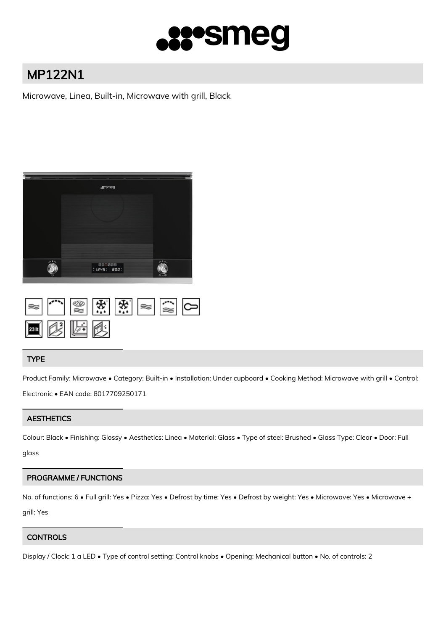

# MP122N1

Microwave, Linea, Built-in, Microwave with grill, Black



| 网络医欧 |  |  |  |
|------|--|--|--|

## TYPE

Product Family: Microwave • Category: Built-in • Installation: Under cupboard • Cooking Method: Microwave with grill • Control: Electronic • EAN code: 8017709250171

# **AESTHETICS**

Colour: Black • Finishing: Glossy • Aesthetics: Linea • Material: Glass • Type of steel: Brushed • Glass Type: Clear • Door: Full

glass

# PROGRAMME / FUNCTIONS

No. of functions: 6 • Full grill: Yes • Pizza: Yes • Defrost by time: Yes • Defrost by weight: Yes • Microwave: Yes • Microwave + grill: Yes

# **CONTROLS**

Display / Clock: 1 a LED • Type of control setting: Control knobs • Opening: Mechanical button • No. of controls: 2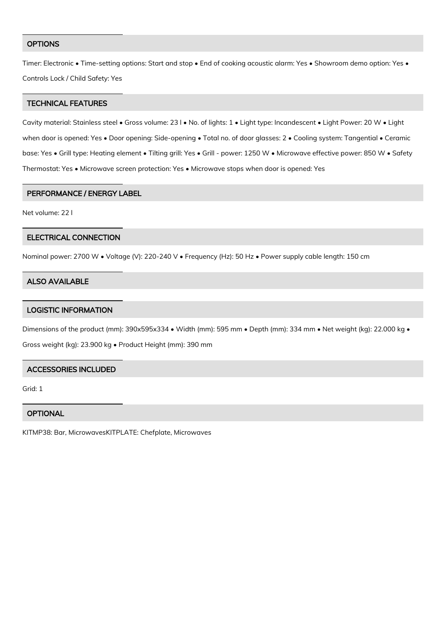#### **OPTIONS**

Timer: Electronic • Time-setting options: Start and stop • End of cooking acoustic alarm: Yes • Showroom demo option: Yes • Controls Lock / Child Safety: Yes

## TECHNICAL FEATURES

Cavity material: Stainless steel • Gross volume: 23 l • No. of lights: 1 • Light type: Incandescent • Light Power: 20 W • Light when door is opened: Yes • Door opening: Side-opening • Total no. of door glasses: 2 • Cooling system: Tangential • Ceramic base: Yes • Grill type: Heating element • Tilting grill: Yes • Grill - power: 1250 W • Microwave effective power: 850 W • Safety Thermostat: Yes • Microwave screen protection: Yes • Microwave stops when door is opened: Yes

#### PERFORMANCE / ENERGY LABEL

Net volume: 22 l

#### ELECTRICAL CONNECTION

Nominal power: 2700 W • Voltage (V): 220-240 V • Frequency (Hz): 50 Hz • Power supply cable length: 150 cm

## ALSO AVAILABLE

## LOGISTIC INFORMATION

Dimensions of the product (mm): 390x595x334 • Width (mm): 595 mm • Depth (mm): 334 mm • Net weight (kg): 22.000 kg •

Gross weight (kg): 23.900 kg • Product Height (mm): 390 mm

#### ACCESSORIES INCLUDED

Grid: 1

#### **OPTIONAL**

KITMP38: Bar, MicrowavesKITPLATE: Chefplate, Microwaves